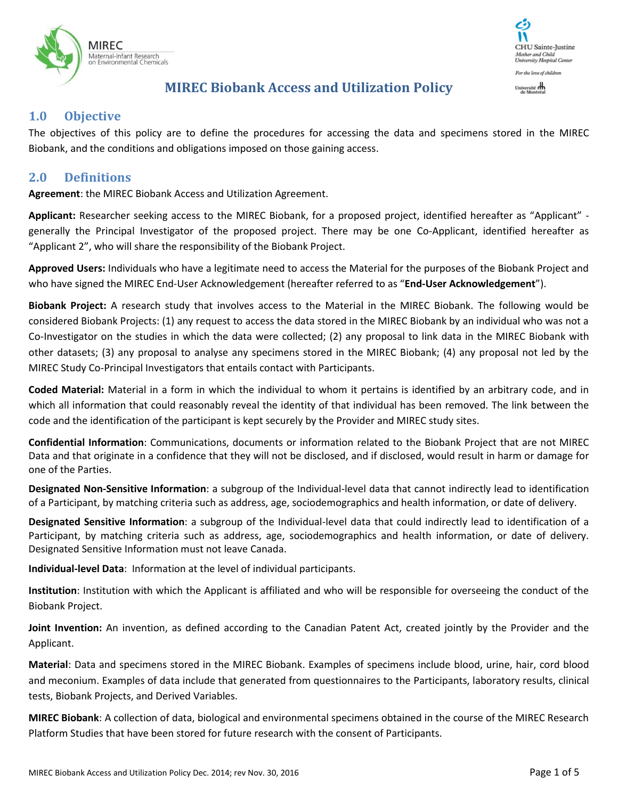



# **MIREC Biobank Access and Utilization Policy**

#### **1.0 Objective**

The objectives of this policy are to define the procedures for accessing the data and specimens stored in the MIREC Biobank, and the conditions and obligations imposed on those gaining access.

#### **2.0 Definitions**

**Agreement**: the MIREC Biobank Access and Utilization Agreement.

**Applicant:** Researcher seeking access to the MIREC Biobank, for a proposed project, identified hereafter as "Applicant" generally the Principal Investigator of the proposed project. There may be one Co-Applicant, identified hereafter as "Applicant 2", who will share the responsibility of the Biobank Project.

**Approved Users:** Individuals who have a legitimate need to access the Material for the purposes of the Biobank Project and who have signed the MIREC End-User Acknowledgement (hereafter referred to as "**End-User Acknowledgement**").

**Biobank Project:** A research study that involves access to the Material in the MIREC Biobank. The following would be considered Biobank Projects: (1) any request to access the data stored in the MIREC Biobank by an individual who was not a Co-Investigator on the studies in which the data were collected; (2) any proposal to link data in the MIREC Biobank with other datasets; (3) any proposal to analyse any specimens stored in the MIREC Biobank; (4) any proposal not led by the MIREC Study Co-Principal Investigators that entails contact with Participants.

**Coded Material:** Material in a form in which the individual to whom it pertains is identified by an arbitrary code, and in which all information that could reasonably reveal the identity of that individual has been removed. The link between the code and the identification of the participant is kept securely by the Provider and MIREC study sites.

**Confidential Information**: Communications, documents or information related to the Biobank Project that are not MIREC Data and that originate in a confidence that they will not be disclosed, and if disclosed, would result in harm or damage for one of the Parties.

**Designated Non-Sensitive Information**: a subgroup of the Individual-level data that cannot indirectly lead to identification of a Participant, by matching criteria such as address, age, sociodemographics and health information, or date of delivery.

**Designated Sensitive Information**: a subgroup of the Individual-level data that could indirectly lead to identification of a Participant, by matching criteria such as address, age, sociodemographics and health information, or date of delivery. Designated Sensitive Information must not leave Canada.

**Individual-level Data**: Information at the level of individual participants.

**Institution**: Institution with which the Applicant is affiliated and who will be responsible for overseeing the conduct of the Biobank Project.

**Joint Invention:** An invention, as defined according to the Canadian Patent Act, created jointly by the Provider and the Applicant.

**Material**: Data and specimens stored in the MIREC Biobank. Examples of specimens include blood, urine, hair, cord blood and meconium. Examples of data include that generated from questionnaires to the Participants, laboratory results, clinical tests, Biobank Projects, and Derived Variables.

**MIREC Biobank**: A collection of data, biological and environmental specimens obtained in the course of the MIREC Research Platform Studies that have been stored for future research with the consent of Participants.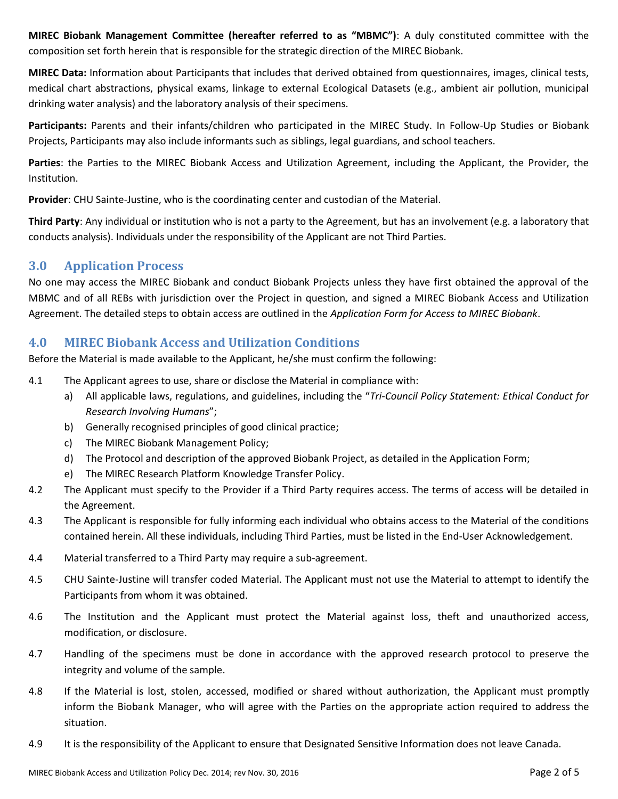**MIREC Biobank Management Committee (hereafter referred to as "MBMC")**: A duly constituted committee with the composition set forth herein that is responsible for the strategic direction of the MIREC Biobank.

**MIREC Data:** Information about Participants that includes that derived obtained from questionnaires, images, clinical tests, medical chart abstractions, physical exams, linkage to external Ecological Datasets (e.g., ambient air pollution, municipal drinking water analysis) and the laboratory analysis of their specimens.

**Participants:** Parents and their infants/children who participated in the MIREC Study. In Follow-Up Studies or Biobank Projects, Participants may also include informants such as siblings, legal guardians, and school teachers.

**Parties**: the Parties to the MIREC Biobank Access and Utilization Agreement, including the Applicant, the Provider, the Institution.

**Provider**: CHU Sainte-Justine, who is the coordinating center and custodian of the Material.

**Third Party**: Any individual or institution who is not a party to the Agreement, but has an involvement (e.g. a laboratory that conducts analysis). Individuals under the responsibility of the Applicant are not Third Parties.

# **3.0 Application Process**

No one may access the MIREC Biobank and conduct Biobank Projects unless they have first obtained the approval of the MBMC and of all REBs with jurisdiction over the Project in question, and signed a MIREC Biobank Access and Utilization Agreement. The detailed steps to obtain access are outlined in the *Application Form for Access to MIREC Biobank*.

# **4.0 MIREC Biobank Access and Utilization Conditions**

Before the Material is made available to the Applicant, he/she must confirm the following:

- 4.1 The Applicant agrees to use, share or disclose the Material in compliance with:
	- a) All applicable laws, regulations, and guidelines, including the "*Tri-Council Policy Statement: Ethical Conduct for Research Involving Humans*";
	- b) Generally recognised principles of good clinical practice;
	- c) The MIREC Biobank Management Policy;
	- d) The Protocol and description of the approved Biobank Project, as detailed in the Application Form;
	- e) The MIREC Research Platform Knowledge Transfer Policy.
- 4.2 The Applicant must specify to the Provider if a Third Party requires access. The terms of access will be detailed in the Agreement.
- 4.3 The Applicant is responsible for fully informing each individual who obtains access to the Material of the conditions contained herein. All these individuals, including Third Parties, must be listed in the End-User Acknowledgement.
- 4.4 Material transferred to a Third Party may require a sub-agreement.
- 4.5 CHU Sainte-Justine will transfer coded Material. The Applicant must not use the Material to attempt to identify the Participants from whom it was obtained.
- 4.6 The Institution and the Applicant must protect the Material against loss, theft and unauthorized access, modification, or disclosure.
- 4.7 Handling of the specimens must be done in accordance with the approved research protocol to preserve the integrity and volume of the sample.
- 4.8 If the Material is lost, stolen, accessed, modified or shared without authorization, the Applicant must promptly inform the Biobank Manager, who will agree with the Parties on the appropriate action required to address the situation.
- 4.9 It is the responsibility of the Applicant to ensure that Designated Sensitive Information does not leave Canada.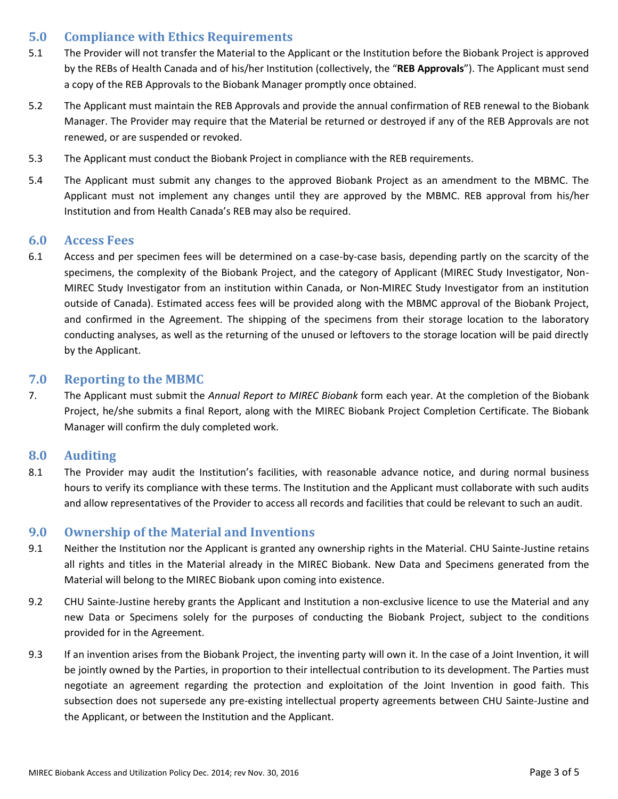# **5.0 Compliance with Ethics Requirements**

- 5.1 The Provider will not transfer the Material to the Applicant or the Institution before the Biobank Project is approved by the REBs of Health Canada and of his/her Institution (collectively, the "**REB Approvals**"). The Applicant must send a copy of the REB Approvals to the Biobank Manager promptly once obtained.
- 5.2 The Applicant must maintain the REB Approvals and provide the annual confirmation of REB renewal to the Biobank Manager. The Provider may require that the Material be returned or destroyed if any of the REB Approvals are not renewed, or are suspended or revoked.
- 5.3 The Applicant must conduct the Biobank Project in compliance with the REB requirements.
- 5.4 The Applicant must submit any changes to the approved Biobank Project as an amendment to the MBMC. The Applicant must not implement any changes until they are approved by the MBMC. REB approval from his/her Institution and from Health Canada's REB may also be required.

#### **6.0 Access Fees**

6.1 Access and per specimen fees will be determined on a case-by-case basis, depending partly on the scarcity of the specimens, the complexity of the Biobank Project, and the category of Applicant (MIREC Study Investigator, Non-MIREC Study Investigator from an institution within Canada, or Non-MIREC Study Investigator from an institution outside of Canada). Estimated access fees will be provided along with the MBMC approval of the Biobank Project, and confirmed in the Agreement. The shipping of the specimens from their storage location to the laboratory conducting analyses, as well as the returning of the unused or leftovers to the storage location will be paid directly by the Applicant.

#### **7.0 Reporting to the MBMC**

7. The Applicant must submit the *Annual Report to MIREC Biobank* form each year. At the completion of the Biobank Project, he/she submits a final Report, along with the MIREC Biobank Project Completion Certificate. The Biobank Manager will confirm the duly completed work.

#### **8.0 Auditing**

8.1 The Provider may audit the Institution's facilities, with reasonable advance notice, and during normal business hours to verify its compliance with these terms. The Institution and the Applicant must collaborate with such audits and allow representatives of the Provider to access all records and facilities that could be relevant to such an audit.

#### **9.0 Ownership of the Material and Inventions**

- 9.1 Neither the Institution nor the Applicant is granted any ownership rights in the Material. CHU Sainte-Justine retains all rights and titles in the Material already in the MIREC Biobank. New Data and Specimens generated from the Material will belong to the MIREC Biobank upon coming into existence.
- 9.2 CHU Sainte-Justine hereby grants the Applicant and Institution a non-exclusive licence to use the Material and any new Data or Specimens solely for the purposes of conducting the Biobank Project, subject to the conditions provided for in the Agreement.
- 9.3 If an invention arises from the Biobank Project, the inventing party will own it. In the case of a Joint Invention, it will be jointly owned by the Parties, in proportion to their intellectual contribution to its development. The Parties must negotiate an agreement regarding the protection and exploitation of the Joint Invention in good faith. This subsection does not supersede any pre-existing intellectual property agreements between CHU Sainte-Justine and the Applicant, or between the Institution and the Applicant.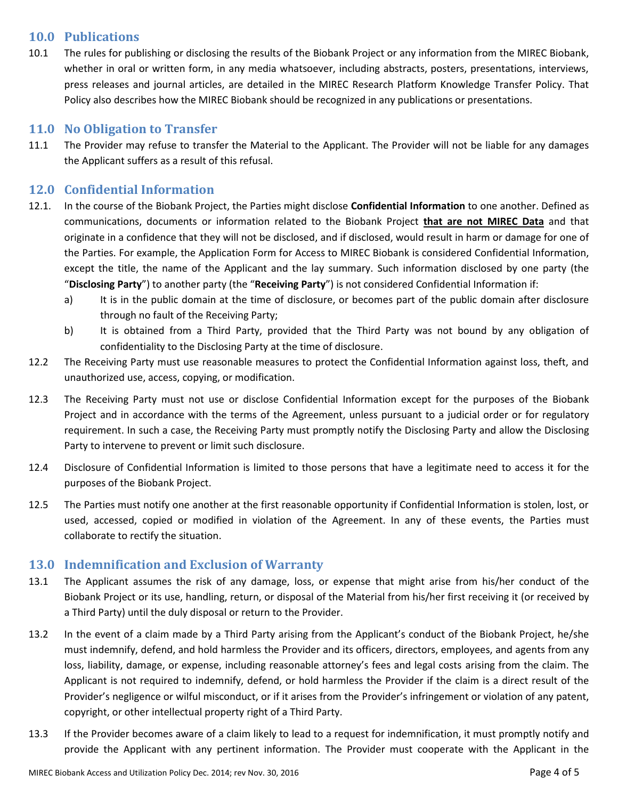### **10.0 Publications**

10.1 The rules for publishing or disclosing the results of the Biobank Project or any information from the MIREC Biobank, whether in oral or written form, in any media whatsoever, including abstracts, posters, presentations, interviews, press releases and journal articles, are detailed in the MIREC Research Platform Knowledge Transfer Policy. That Policy also describes how the MIREC Biobank should be recognized in any publications or presentations.

# **11.0 No Obligation to Transfer**

11.1 The Provider may refuse to transfer the Material to the Applicant. The Provider will not be liable for any damages the Applicant suffers as a result of this refusal.

### **12.0 Confidential Information**

- 12.1. In the course of the Biobank Project, the Parties might disclose **Confidential Information** to one another. Defined as communications, documents or information related to the Biobank Project **that are not MIREC Data** and that originate in a confidence that they will not be disclosed, and if disclosed, would result in harm or damage for one of the Parties. For example, the Application Form for Access to MIREC Biobank is considered Confidential Information, except the title, the name of the Applicant and the lay summary. Such information disclosed by one party (the "**Disclosing Party**") to another party (the "**Receiving Party**") is not considered Confidential Information if:
	- a) It is in the public domain at the time of disclosure, or becomes part of the public domain after disclosure through no fault of the Receiving Party;
	- b) It is obtained from a Third Party, provided that the Third Party was not bound by any obligation of confidentiality to the Disclosing Party at the time of disclosure.
- 12.2 The Receiving Party must use reasonable measures to protect the Confidential Information against loss, theft, and unauthorized use, access, copying, or modification.
- 12.3 The Receiving Party must not use or disclose Confidential Information except for the purposes of the Biobank Project and in accordance with the terms of the Agreement, unless pursuant to a judicial order or for regulatory requirement. In such a case, the Receiving Party must promptly notify the Disclosing Party and allow the Disclosing Party to intervene to prevent or limit such disclosure.
- 12.4 Disclosure of Confidential Information is limited to those persons that have a legitimate need to access it for the purposes of the Biobank Project.
- 12.5 The Parties must notify one another at the first reasonable opportunity if Confidential Information is stolen, lost, or used, accessed, copied or modified in violation of the Agreement. In any of these events, the Parties must collaborate to rectify the situation.

#### **13.0 Indemnification and Exclusion of Warranty**

- 13.1 The Applicant assumes the risk of any damage, loss, or expense that might arise from his/her conduct of the Biobank Project or its use, handling, return, or disposal of the Material from his/her first receiving it (or received by a Third Party) until the duly disposal or return to the Provider.
- 13.2 In the event of a claim made by a Third Party arising from the Applicant's conduct of the Biobank Project, he/she must indemnify, defend, and hold harmless the Provider and its officers, directors, employees, and agents from any loss, liability, damage, or expense, including reasonable attorney's fees and legal costs arising from the claim. The Applicant is not required to indemnify, defend, or hold harmless the Provider if the claim is a direct result of the Provider's negligence or wilful misconduct, or if it arises from the Provider's infringement or violation of any patent, copyright, or other intellectual property right of a Third Party.
- 13.3 If the Provider becomes aware of a claim likely to lead to a request for indemnification, it must promptly notify and provide the Applicant with any pertinent information. The Provider must cooperate with the Applicant in the